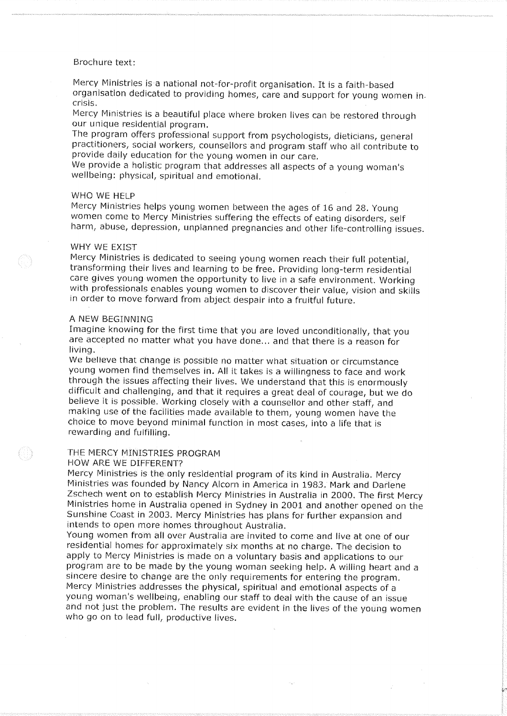### Brochure text:

Mercy Ministries is a national not-for-profit organisation. It is a faith-based organisation dedicated to providing homes, care and support for young women in. crisis.

Mercy Ministries is a beautiful place where broken lives can be restored through our unique residential program.

The program offers professional support from psychologists, dieticians, general practitioners, social workers, counsellors and program staff who all contribute to provide daily education for the young women in our care.

We provide a holistic program that addresses all aspects of a young woman's wellbeing: physical, spiritual and emotional.

#### WHO WE HELP

Mercy Ministries helps young women between the ages of 16 and 28. Young women come to Mercy Ministries suffering the effects of eating disorders, self harm, abuse, depression, unplanned pregnancies and other life-controlling issues.

### WHY WE EXIST

Mercy Ministries is dedicated to seeing young women reach their full potential, transforming their lives and learning to be free. Providing long-term residential care gives young women the opportunity to live in a safe environment. Working with professionals enables young women to discover their value, vision and skills in order to move forward from abject despair into a fruitful future.

#### A NEW BEGINNING

Imagine knowing for the first time that you are loved unconditionally, that you are accepted no matter what you have done... and that there is a reason for living.

We believe that change is possible no matter what situation or circumstance young women find themselves in. All it takes is a willingness to face and work through the issues affecting their lives. We understand that this is enormously difficult and challenging, and that it requires a great deal of courage, but we do believe it is possible. Working closely with a counsellor and other staff, and making use of the facilities made available to them, young women have the choice to move beyond minimal function in most cases, into a life that is rewarding and fulfilling.

### THE MERCY MINISTRIES PROGRAM

#### **HOW ARE WE DIFFERENT?**

88

Mercy Ministries is the only residential program of its kind in Australia. Mercy Ministries was founded by Nancy Alcorn in America in 1983. Mark and Darlene Zschech went on to establish Mercy Ministries in Australia in 2000. The first Mercy Ministries home in Australia opened in Sydney in 2001 and another opened on the Sunshine Coast in 2003. Mercy Ministries has plans for further expansion and intends to open more homes throughout Australia.

Young women from all over Australia are invited to come and live at one of our residential homes for approximately six months at no charge. The decision to apply to Mercy Ministries is made on a voluntary basis and applications to our program are to be made by the young woman seeking help. A willing heart and a sincere desire to change are the only requirements for entering the program. Mercy Ministries addresses the physical, spiritual and emotional aspects of a young woman's wellbeing, enabling our staff to deal with the cause of an issue and not just the problem. The results are evident in the lives of the young women who go on to lead full, productive lives.